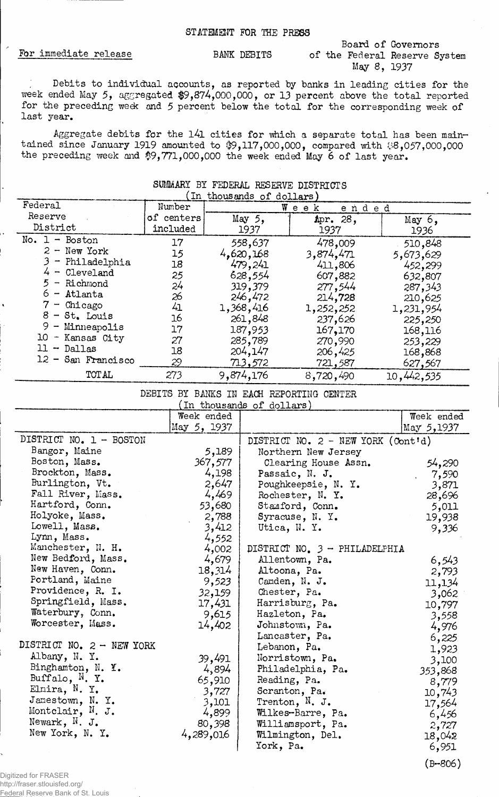# Board of Governors For immediate release BANK DEBITS of the Federal Reserve System May 8, 1937

(B-806)

Debits to individual accounts, as reported by banks in leading cities for the week ended May 5, aggregated \$9,874,000,000, or 13 percent above the total reported for the preceding wedt and 5 percent below the total for the corresponding week of last year.

Aggregate debits for the 141 cities for which a separate total has been maintained since January 1919 amounted to  $$9,117,000,000$ , compared with  $$8,057,000,000$ the preceding week and \$9,771,000,000 the week ended May 6 of last year.

SUMMARY BY FEDERAL RESERVE DISTRICTS

## (In thousands of dollars) Federal Number Week ended Reserve  $May$  5, of centers Apr. 28, May  $6$ , District included 1937 1937 1936 No. 1 - Boston 17 558,637 478,009 510,848  $2 -$  New York 15 4,620,168 3,874,471 5,673,629 3 - Philadelphia 18 479,241 411,806 ^52,299 4 - Cleveland 25 628,554 607,882 632,807 5 - Richmond 24 319,379 277,544 287,343 6 - Atlanta 26 246,472 214,728 210,625 7 - Chicago 1,252,252 4i 1,368,416 1,231,954  $8 - St$ . Louis 16 261,848 237,626 225,250 9 - Minneapolis 17 187,953 167,170 168,116 10 - Kansas City 27 285,789 253,229 270,990 11 - Dallas 18 204,147 206,425 168,868 12 - San Francisco 29 721,587 627,567 713.572 TOTAL 273 9,874,176 8,720,490 10,442,535

DEBITS BY BANKS IN EACH REPORTING CENTER

| In thousands of dollars)    |             |                                      |            |  |
|-----------------------------|-------------|--------------------------------------|------------|--|
|                             | Week ended  |                                      | Week ended |  |
|                             | May 5, 1937 |                                      | May 5,1937 |  |
| DISTRICT NO. 1 - BOSTON     |             | DISTRICT NO. $2$ - NEW YORK (Cont'd) |            |  |
| Bangor, Maine               | 5,189       | Northern New Jersey                  |            |  |
| Boston, Mass.               | 367,577     | Clearing House Assn.                 | 54,290     |  |
| Brockton, Mass.             | 4,198       | Passaic, N. J.                       | 7,590      |  |
| Burlington, Vt.             | 2,647       | Poughkeepsie, N. Y.                  | 3,871      |  |
| Fall River, Mass.           | 4,469       | Rochester, N. Y.                     | 28,696     |  |
| Hartford, Conn.             | 53,680      | Stanford, Conn.                      | 5,011      |  |
| Holyoke, Mass.              | 2,788       | Syracuse, N. Y.                      | 19,938     |  |
| Lowell, Mass.               | 3,412       | Utica, N. Y.                         | 9,336      |  |
| Lynn, Mass.                 | 4,552       |                                      |            |  |
| Manchester, N. H.           | 4,002       | DISTRICT NO. 3 - PHILADELPHIA        |            |  |
| New Bedford, Mass.          | 4,679       | Allentown, Pa.                       | 6,543      |  |
| New Haven, Conn.            | 18,314      | Altoona, Pa.                         | 2,793      |  |
| Portland, Maine             | 9,523       | Camden, N. J.                        | 11,134     |  |
| Providence, R. I.           | 32,159      | Chester, Pa.                         | 3,062      |  |
| Springfield, Mass.          | 17,431      | Harrisburg, Pa.                      | 10,797     |  |
| Waterbury, Conn.            | 9,615       | Hazleton, Pa.                        | 3,558      |  |
| Worcester, Mass.            | 14,402      | Johnstown, Pa.                       | 4,976      |  |
|                             |             | Lancaster, Pa.                       | 6,225      |  |
| DISTRICT NO. $2 - NEW YORK$ |             | Lebanon, Pa.                         | 1,923      |  |
| Albany, N. Y.               | 39,491      | Norristown, Pa.                      | 3,100      |  |
| Binghamton, N. Y.           | 4,894       | Philadelphia, Pa.                    | 353,868    |  |
| Buffalo, $N$ . Y.           | 65,910      | Reading, Pa.                         | 8,779      |  |
| Elnira, N.Y.                | 3,727       | Scranton, Pa.                        | 10,743     |  |
| Jamestown, N.Y.             | 3,101       | Trenton, $\mathbb{N}$ . J.           | 17,564     |  |
| Montclair, N. J.            | 4,899       | Wilkes-Barre, Pa.                    | 6,456      |  |
| Newark, $N$ . J.            | 80,398      | Williamsport, Pa.                    | 2,727      |  |
| New York, N. Y.             | 4,289,016   | Wilmington, Del.                     | 18,042     |  |
|                             |             | York, Pa.                            | 6,951      |  |

## Digitized for FRASER http://fraser.stlouisfed.org/ Federal Reserve Bank of St. Louis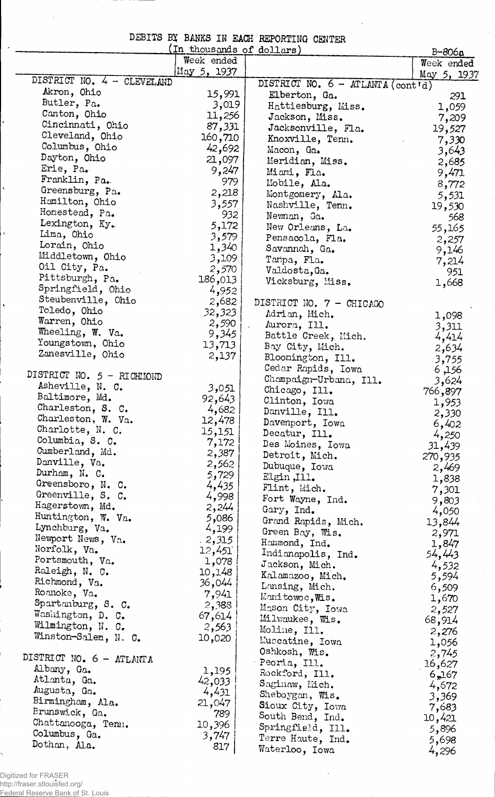| DEBITS BY BANKS IN EACH REPORTING CENTER |  |  |  |  |
|------------------------------------------|--|--|--|--|
|------------------------------------------|--|--|--|--|

 $\bar{\mathcal{A}}$ 

 $\sim$ 

| (In thousands of dollars)          |                 |                                         |                          |  |
|------------------------------------|-----------------|-----------------------------------------|--------------------------|--|
|                                    | Week ended      |                                         | $B - 806a$<br>Week ended |  |
| DISTRICT NO. 4 - CLEVELAND         | May 5, 1937     |                                         | May 5, 1937              |  |
| Akron, Ohio                        |                 | DISTRICT NO. 6 - ATLANTA (cont'd)       |                          |  |
| Butler, Pa.                        | 15,991          | Elberton, Ga.                           | 291                      |  |
| Canton, Ohio                       | 3,019<br>11,256 | Hattiesburg, Miss.                      | 1,059                    |  |
| Cincinnati, Ohio                   | 87,331          | Jackson, Miss.                          | 7,209                    |  |
| Cleveland, Ohio                    | 160,710         | Jacksonville, Fla.                      | 19,527                   |  |
| Columbus, Ohio                     | 42,692          | Knoxville, Tenn.<br>Macon, Ga.          | 7,330                    |  |
| Dayton, Ohio                       | 21,097          | Meridian, Miss.                         | 3,643<br>2,685           |  |
| Erie, Pa.                          | 9,247           | Miami, Fla.                             | 9,471                    |  |
| Franklin, Pa.                      | 979             | Mobile, Ala.                            | 8,772                    |  |
| Greensburg, Pa.                    | 2,218           | Montgomery, M.a.                        | 5,531                    |  |
| Hamilton, Ohio                     | 3,557           | Nashville, Tenn.                        | 19,530                   |  |
| Homestead, Pa.                     | 932             | Newnan, Ga.                             | 568                      |  |
| Lexington, Ky.                     | 5,172           | New Orleans, La.                        | 55,165                   |  |
| Lima, Ohio                         | 3,579           | Pensacola, Fla.                         | 2,257                    |  |
| Lorain, Ohio                       | 1,340           | Savannah, Ga.                           | 9,146                    |  |
| Middletown, Ohio                   | 3,109           | Taripa, Fla.                            | 7,214                    |  |
| Oil City, Pa.                      | 2,570           | Valdosta, Ga.                           | 951                      |  |
| Pittsburgh, Pa.                    | 186,013         | Vicksburg, Miss.                        | 1,668                    |  |
| Springfield, Ohio                  | 4,952           |                                         |                          |  |
| Steubenville, Ohio<br>Toledo, Ohio | 2,682           | DISTRICT NO. 7 - CHICAGO                |                          |  |
| Warren, Ohio                       | 32,323          | Adrian, Mich.                           | 1,098                    |  |
| Wheeling, W. Va.                   | 2,590<br>9,345  | Aurora, Ill.                            | 3,311                    |  |
| Youngstown, Ohio                   | 13,713          | Battle Creek, Mich.                     | 4,414                    |  |
| Zanesville, Ohio                   | 2,137           | Bay City, Mich.                         | 2,634                    |  |
|                                    |                 | Bloomington, Ill.<br>Cedar Rapids, Iowa | 3,755                    |  |
| DISTRICT NO. 5 - RICHMOND          |                 | Champaign-Urbana, Ill.                  | 6,156<br>3,624           |  |
| Asheville, N. C.                   | 3,051           | Chicago, Ill.                           | 766,897                  |  |
| Baltimore, Md.                     | 92,643          | Clinton, Iowa                           | 1,953                    |  |
| Charleston, S. C.                  | 4,682           | Danville, Ill.                          | 2,330                    |  |
| Charleston, W. Va.                 | 12,478          | Davenport, Iowa                         | 6,402                    |  |
| Charlotte, N. C.                   | 15,151          | Decatur, Ill.                           | 4,250                    |  |
| Columbia, S. C.                    | 7,172           | Des Moines, Iowa                        | 31,439                   |  |
| Cumberland, Md.                    | 2,387           | Detroit, Mich.                          | 270,935                  |  |
| Danville, Va.                      | 2,562           | Dubuque, Iowa                           | 2,469                    |  |
| Durham, N. C.<br>Greensboro, N. C. | 5,729           | Elgin, Ill.                             | 1,838                    |  |
| Greenville, S. C.                  | 4,435           | Flint, Mich.                            | 7,301                    |  |
| Hagerstown, Md.                    | 4,998           | Fort Wayne, Ind.                        | 9,803                    |  |
| Huntington, W. Va.                 | 2,244<br>5,086  | Gary, Ind.                              | 4,050                    |  |
| Lynchburg, Va.                     | 4,199           | Grand Rapids, Mich.                     | 13,844                   |  |
| Newport News, Va.                  | 2,315           | Green Bay, Wis.                         | 2,971                    |  |
| Norfolk, Va.                       | 12,451          | Hammond, Ind.<br>Indianapolis, Ind.     | 1,847<br>54,443          |  |
| Portsmouth, Va.                    | 1,078           | Jackson, Mich.                          | 4,532                    |  |
| Raleigh, N. C.                     | 10,148          | Kalamazoo, Mich.                        | 5,594                    |  |
| Richmond, Va.                      | 36,044          | Lansing, Mich.                          | 6,509                    |  |
| Roanoke, Va.                       | 7,941           | Manitowoc, Wis.                         | 1,670                    |  |
| Spartanburg, S. C.                 | 2,388           | Mason City, Iowa                        | 2,527                    |  |
| Washington, D. C.                  | 67,614          | Milwaukee, Wis.                         | 68,914                   |  |
| Wilmington, N. C.                  | 2,563           | Moline, Ill.                            | 2,276                    |  |
| Winston-Salem, N. C.               | 10,020          | Muscatine, Iowa                         | 1,056                    |  |
| DISTRICT NO. 6 - ATLANTA           |                 | Oshkosh, Wis.                           | 2,745                    |  |
| Albany, Ga.                        | 1,195           | Peoria, Ill.                            | 16,627                   |  |
| Atlanta, Ga.                       | 42,033          | Rockford, Ill.                          | 6,167                    |  |
| Augusta, Ga.                       | 4,431           | Saginaw, Mich.                          | 4,672                    |  |
| Birmingham, Ala.                   | 21,047          | Sheboygan, Wis.                         | 3,369                    |  |
| Brunswick, Ga.                     | 789             | Sioux City, Iowa                        | 7,683                    |  |
| Chattanooga, Tenn.                 | 10,396          | South Bend, Ind.<br>Springfield, Ill.   | 10,421                   |  |
| Columbus, Ga.                      | 3,747           | Terre Haute, Ind.                       | 5,896<br>5,698           |  |
| Dothan, Ala.                       | 817             | Waterloo, Iowa                          | 4,296                    |  |
|                                    |                 |                                         |                          |  |

 $\bar{z}$ 

Digitized for FRASER http://fraser.stlouisfed.org/ Federal Reserve Bank of St. Louis

ÿ